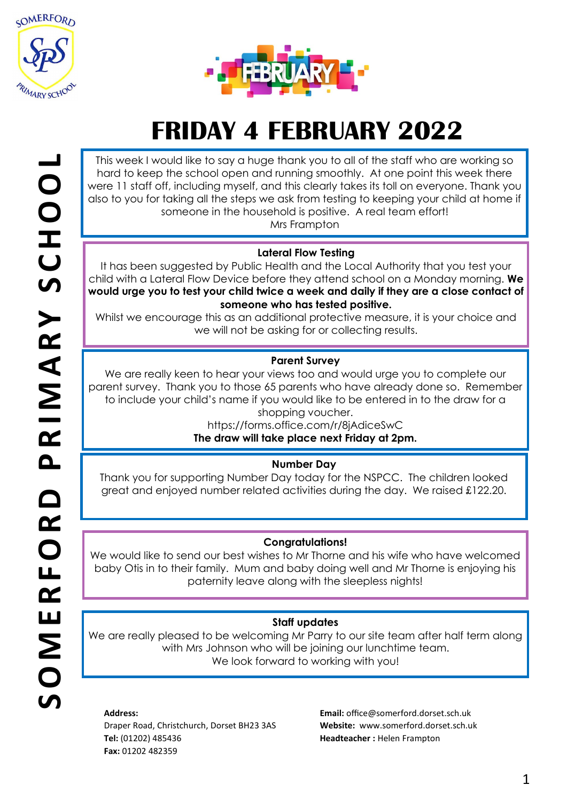



# **FRIDAY 4 FEBRUARY 2022**

This week I would like to say a huge thank you to all of the staff who are working so hard to keep the school open and running smoothly. At one point this week there were 11 staff off, including myself, and this clearly takes its toll on everyone. Thank you also to you for taking all the steps we ask from testing to keeping your child at home if someone in the household is positive. A real team effort!

Mrs Frampton

### **Lateral Flow Testing**

It has been suggested by Public Health and the Local Authority that you test your child with a Lateral Flow Device before they attend school on a Monday morning. **We would urge you to test your child twice a week and daily if they are a close contact of someone who has tested positive.** 

Whilst we encourage this as an additional protective measure, it is your choice and we will not be asking for or collecting results.

### **Parent Survey**

We are really keen to hear your views too and would urge you to complete our parent survey. Thank you to those 65 parents who have already done so. Remember to include your child's name if you would like to be entered in to the draw for a shopping voucher.

https://forms.office.com/r/8jAdiceSwC **The draw will take place next Friday at 2pm.**

### **Number Day**

Thank you for supporting Number Day today for the NSPCC. The children looked great and enjoyed number related activities during the day. We raised £122.20.

### **Congratulations!**

We would like to send our best wishes to Mr Thorne and his wife who have welcomed baby Otis in to their family. Mum and baby doing well and Mr Thorne is enjoying his paternity leave along with the sleepless nights!

### **Staff updates**

We are really pleased to be welcoming Mr Parry to our site team after half term along with Mrs Johnson who will be joining our lunchtime team. We look forward to working with you!

#### **Address:**

Draper Road, Christchurch, Dorset BH23 3AS **Tel:** (01202) 485436 **Fax:** 01202 482359

**Email:** office@somerford.dorset.sch.uk **Website:** www.somerford.dorset.sch.uk **Headteacher :** Helen Frampton